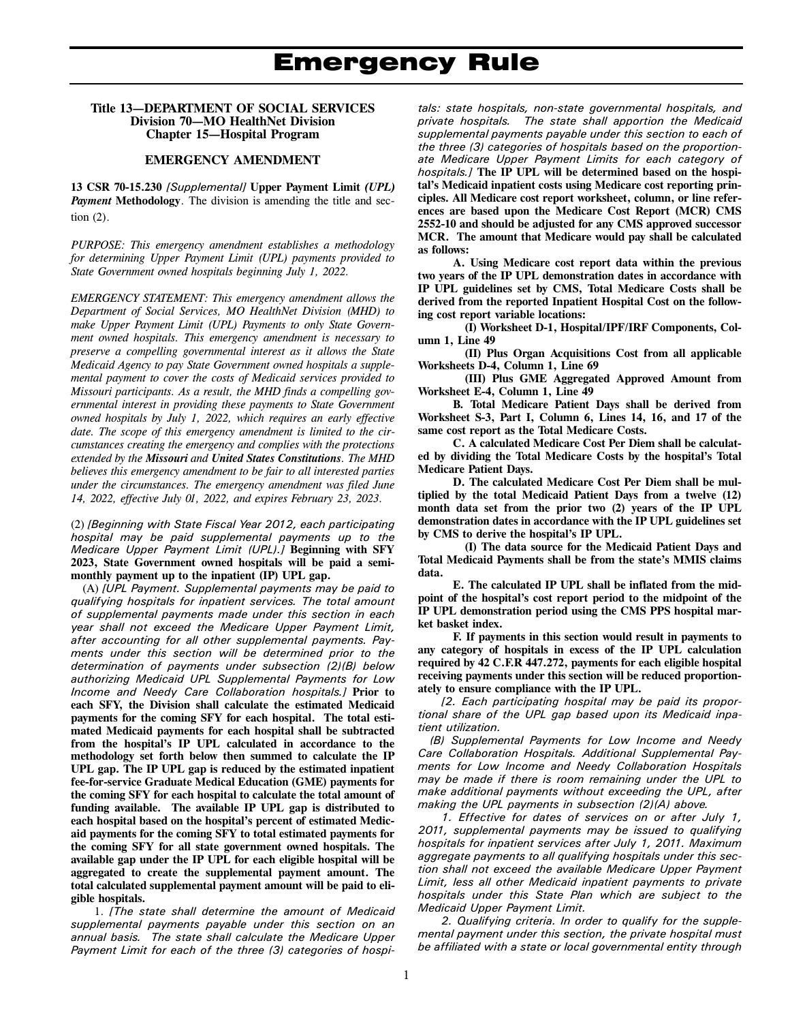#### **Title 13—DEPARTMENT OF SOCIAL SERVICES Division 70—MO HealthNet Division Chapter 15—Hospital Program**

#### **EMERGENCY AMENDMENT**

**13 CSR 70-15.230** *[Supplemental]* **Upper Payment Limit** *(UPL) Payment* **Methodology**. The division is amending the title and section (2).

*PURPOSE: This emergency amendment establishes a methodology for determining Upper Payment Limit (UPL) payments provided to State Government owned hospitals beginning July 1, 2022.* 

*EMERGENCY STATEMENT: This emergency amendment allows the Department of Social Services, MO HealthNet Division (MHD) to make Upper Payment Limit (UPL) Payments to only State Government owned hospitals. This emergency amendment is necessary to preserve a compelling governmental interest as it allows the State Medicaid Agency to pay State Government owned hospitals a supplemental payment to cover the costs of Medicaid services provided to Missouri participants. As a result, the MHD finds a compelling governmental interest in providing these payments to State Government owned hospitals by July 1, 2022, which requires an early effective date. The scope of this emergency amendment is limited to the circumstances creating the emergency and complies with the protections extended by the Missouri and United States Constitutions. The MHD believes this emergency amendment to be fair to all interested parties under the circumstances. The emergency amendment was filed June 14, 2022, effective July 01, 2022, and expires February 23, 2023.* 

(2) *[Beginning with State Fiscal Year 2012, each participating hospital may be paid supplemental payments up to the Medicare Upper Payment Limit (UPL).]* **Beginning with SFY 2023, State Government owned hospitals will be paid a semimonthly payment up to the inpatient (IP) UPL gap.**

(A) *[UPL Payment. Supplemental payments may be paid to qualifying hospitals for inpatient services. The total amount of supplemental payments made under this section in each year shall not exceed the Medicare Upper Payment Limit, after accounting for all other supplemental payments. Payments under this section will be determined prior to the determination of payments under subsection (2)(B) below authorizing Medicaid UPL Supplemental Payments for Low Income and Needy Care Collaboration hospitals.]* **Prior to each SFY, the Division shall calculate the estimated Medicaid payments for the coming SFY for each hospital. The total estimated Medicaid payments for each hospital shall be subtracted from the hospital's IP UPL calculated in accordance to the methodology set forth below then summed to calculate the IP UPL gap. The IP UPL gap is reduced by the estimated inpatient fee-for-service Graduate Medical Education (GME) payments for the coming SFY for each hospital to calculate the total amount of funding available. The available IP UPL gap is distributed to each hospital based on the hospital's percent of estimated Medicaid payments for the coming SFY to total estimated payments for the coming SFY for all state government owned hospitals. The available gap under the IP UPL for each eligible hospital will be aggregated to create the supplemental payment amount. The total calculated supplemental payment amount will be paid to eligible hospitals.** 

1. *[The state shall determine the amount of Medicaid supplemental payments payable under this section on an annual basis. The state shall calculate the Medicare Upper Payment Limit for each of the three (3) categories of hospi-*

*tals: state hospitals, non-state governmental hospitals, and private hospitals. The state shall apportion the Medicaid supplemental payments payable under this section to each of the three (3) categories of hospitals based on the proportionate Medicare Upper Payment Limits for each category of hospitals.]* **The IP UPL will be determined based on the hospital's Medicaid inpatient costs using Medicare cost reporting principles. All Medicare cost report worksheet, column, or line references are based upon the Medicare Cost Report (MCR) CMS 2552-10 and should be adjusted for any CMS approved successor MCR. The amount that Medicare would pay shall be calculated as follows:** 

**A. Using Medicare cost report data within the previous two years of the IP UPL demonstration dates in accordance with IP UPL guidelines set by CMS, Total Medicare Costs shall be derived from the reported Inpatient Hospital Cost on the following cost report variable locations:** 

**(I) Worksheet D-1, Hospital/IPF/IRF Components, Column 1, Line 49** 

**(II) Plus Organ Acquisitions Cost from all applicable Worksheets D-4, Column 1, Line 69** 

**(III) Plus GME Aggregated Approved Amount from Worksheet E-4, Column 1, Line 49** 

**B. Total Medicare Patient Days shall be derived from Worksheet S-3, Part I, Column 6, Lines 14, 16, and 17 of the same cost report as the Total Medicare Costs.** 

**C. A calculated Medicare Cost Per Diem shall be calculated by dividing the Total Medicare Costs by the hospital's Total Medicare Patient Days.** 

**D. The calculated Medicare Cost Per Diem shall be multiplied by the total Medicaid Patient Days from a twelve (12) month data set from the prior two (2) years of the IP UPL demonstration dates in accordance with the IP UPL guidelines set by CMS to derive the hospital's IP UPL.** 

**(I) The data source for the Medicaid Patient Days and Total Medicaid Payments shall be from the state's MMIS claims data.** 

**E. The calculated IP UPL shall be inflated from the midpoint of the hospital's cost report period to the midpoint of the IP UPL demonstration period using the CMS PPS hospital market basket index.** 

**F. If payments in this section would result in payments to any category of hospitals in excess of the IP UPL calculation required by 42 C.F.R 447.272, payments for each eligible hospital receiving payments under this section will be reduced proportionately to ensure compliance with the IP UPL.** 

*[2. Each participating hospital may be paid its proportional share of the UPL gap based upon its Medicaid inpatient utilization.* 

*(B) Supplemental Payments for Low Income and Needy Care Collaboration Hospitals. Additional Supplemental Payments for Low Income and Needy Collaboration Hospitals may be made if there is room remaining under the UPL to make additional payments without exceeding the UPL, after making the UPL payments in subsection (2)(A) above.* 

*1. Effective for dates of services on or after July 1, 2011, supplemental payments may be issued to qualifying hospitals for inpatient services after July 1, 2011. Maximum aggregate payments to all qualifying hospitals under this section shall not exceed the available Medicare Upper Payment Limit, less all other Medicaid inpatient payments to private hospitals under this State Plan which are subject to the Medicaid Upper Payment Limit.* 

*2. Qualifying criteria. In order to qualify for the supplemental payment under this section, the private hospital must be affiliated with a state or local governmental entity through*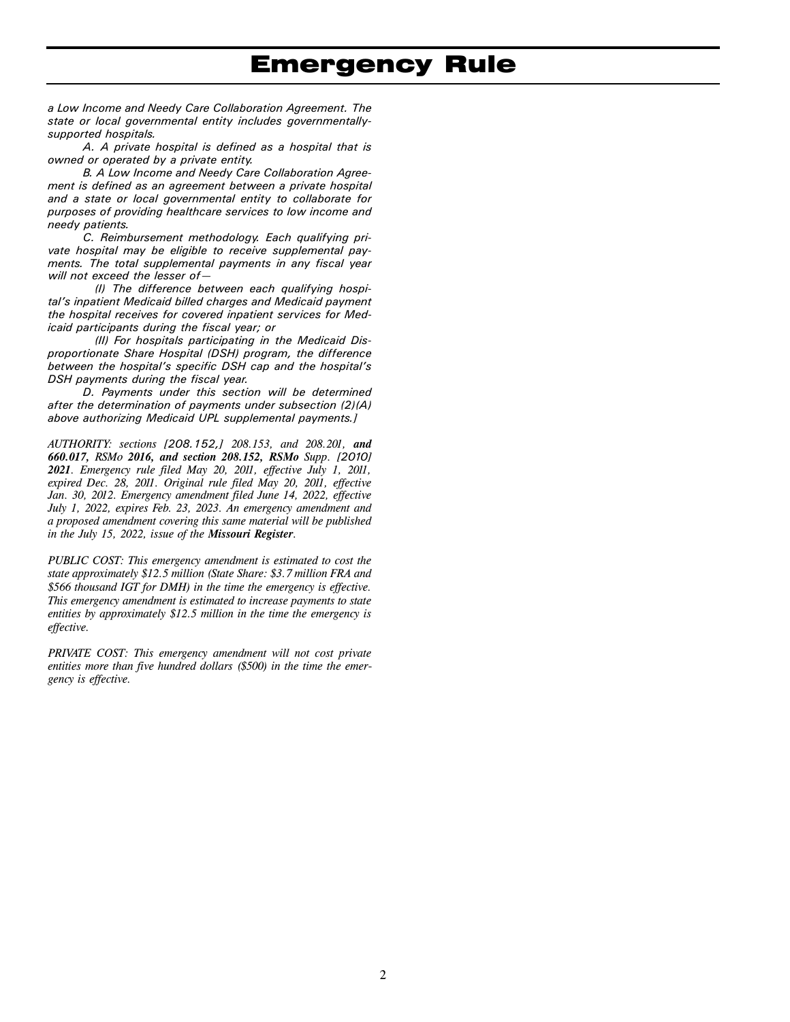*a Low Income and Needy Care Collaboration Agreement. The state or local governmental entity includes governmentallysupported hospitals.* 

*A. A private hospital is defined as a hospital that is owned or operated by a private entity.* 

*B. A Low Income and Needy Care Collaboration Agreement is defined as an agreement between a private hospital and a state or local governmental entity to collaborate for purposes of providing healthcare services to low income and needy patients.* 

*C. Reimbursement methodology. Each qualifying private hospital may be eligible to receive supplemental payments. The total supplemental payments in any fiscal year will not exceed the lesser of—* 

*(I) The difference between each qualifying hospital's inpatient Medicaid billed charges and Medicaid payment the hospital receives for covered inpatient services for Medicaid participants during the fiscal year; or* 

*(II) For hospitals participating in the Medicaid Disproportionate Share Hospital (DSH) program, the difference between the hospital's specific DSH cap and the hospital's DSH payments during the fiscal year.* 

*D. Payments under this section will be determined after the determination of payments under subsection (2)(A) above authorizing Medicaid UPL supplemental payments.]* 

*AUTHORITY: sections [208.152,] 208.153, and 208.201, and 660.017, RSMo 2016, and section 208.152, RSMo Supp. [2010] 2021. Emergency rule filed May 20, 2011, effective July 1, 2011, expired Dec. 28, 2011. Original rule filed May 20, 2011, effective Jan. 30, 2012. Emergency amendment filed June 14, 2022, effective July 1, 2022, expires Feb. 23, 2023. An emergency amendment and a proposed amendment covering this same material will be published in the July 15, 2022, issue of the Missouri Register.* 

*PUBLIC COST: This emergency amendment is estimated to cost the state approximately \$12.5 million (State Share: \$3.7 million FRA and \$566 thousand IGT for DMH) in the time the emergency is effective. This emergency amendment is estimated to increase payments to state entities by approximately \$12.5 million in the time the emergency is effective.* 

*PRIVATE COST: This emergency amendment will not cost private entities more than five hundred dollars (\$500) in the time the emergency is effective.*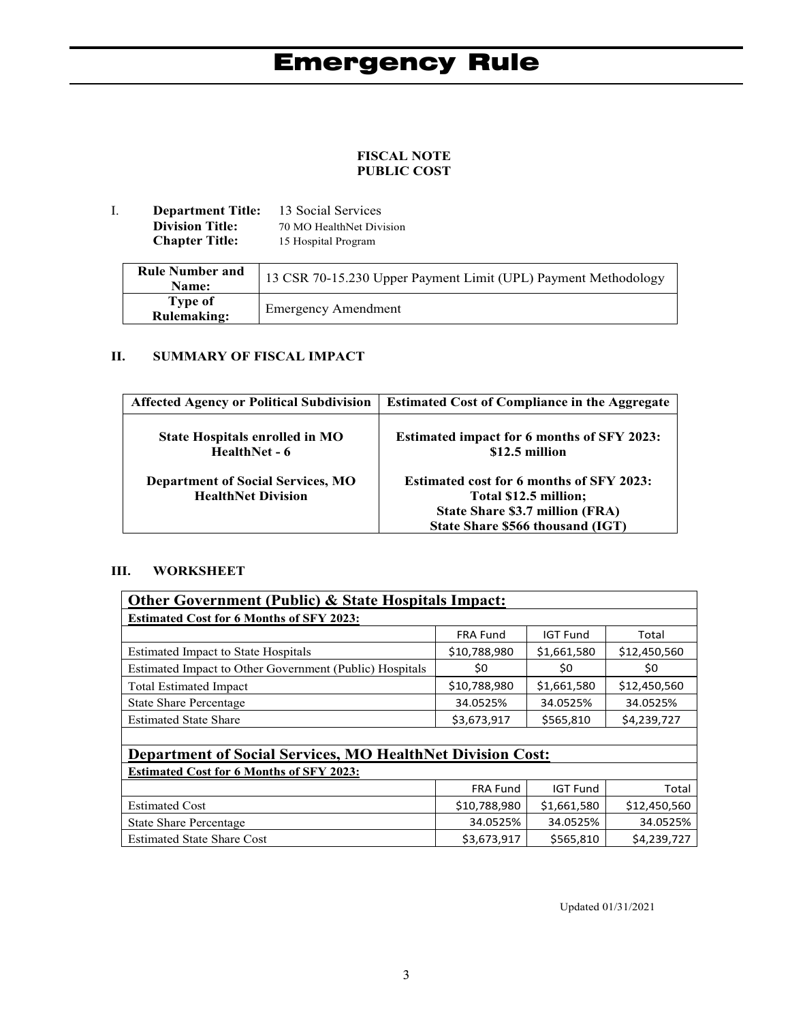### **FISCAL NOTE PUBLIC COST**

I. **Department Title:** 13 Social Services **Division Title:** 70 MO HealthNet Division<br> **Chapter Title:** 15 Hospital Program 15 Hospital Program

| <b>Rule Number and</b><br>Name: | 13 CSR 70-15.230 Upper Payment Limit (UPL) Payment Methodology |
|---------------------------------|----------------------------------------------------------------|
| Type of<br><b>Rulemaking:</b>   | <b>Emergency Amendment</b>                                     |

### **II. SUMMARY OF FISCAL IMPACT**

| <b>Affected Agency or Political Subdivision</b>                       | <b>Estimated Cost of Compliance in the Aggregate</b>                                                                                            |  |
|-----------------------------------------------------------------------|-------------------------------------------------------------------------------------------------------------------------------------------------|--|
| <b>State Hospitals enrolled in MO</b><br>HealthNet - 6                | <b>Estimated impact for 6 months of SFY 2023:</b><br>\$12.5 million                                                                             |  |
| <b>Department of Social Services, MO</b><br><b>HealthNet Division</b> | <b>Estimated cost for 6 months of SFY 2023:</b><br>Total \$12.5 million;<br>State Share \$3.7 million (FRA)<br>State Share \$566 thousand (IGT) |  |

#### **III. WORKSHEET**

| <b>Other Government (Public) &amp; State Hospitals Impact:</b>    |                 |                 |              |  |  |
|-------------------------------------------------------------------|-----------------|-----------------|--------------|--|--|
| <b>Estimated Cost for 6 Months of SFY 2023:</b>                   |                 |                 |              |  |  |
|                                                                   | <b>FRA Fund</b> | <b>IGT Fund</b> | Total        |  |  |
| <b>Estimated Impact to State Hospitals</b>                        | \$10,788,980    | \$1,661,580     | \$12,450,560 |  |  |
| Estimated Impact to Other Government (Public) Hospitals           | \$0             | \$0             | \$0          |  |  |
| <b>Total Estimated Impact</b>                                     | \$10,788,980    | \$1,661,580     | \$12,450,560 |  |  |
| <b>State Share Percentage</b>                                     | 34.0525%        | 34.0525%        | 34.0525%     |  |  |
| <b>Estimated State Share</b>                                      | \$3,673,917     | \$565,810       | \$4,239,727  |  |  |
|                                                                   |                 |                 |              |  |  |
| <b>Department of Social Services, MO HealthNet Division Cost:</b> |                 |                 |              |  |  |
| <b>Estimated Cost for 6 Months of SFY 2023:</b>                   |                 |                 |              |  |  |
|                                                                   | <b>FRA Fund</b> | <b>IGT Fund</b> | Total        |  |  |
| <b>Estimated Cost</b>                                             | \$10,788,980    | \$1,661,580     | \$12,450,560 |  |  |
| <b>State Share Percentage</b>                                     | 34.0525%        | 34.0525%        | 34.0525%     |  |  |
| <b>Estimated State Share Cost</b>                                 | \$3,673,917     | \$565,810       | \$4,239,727  |  |  |

Updated 01/31/2021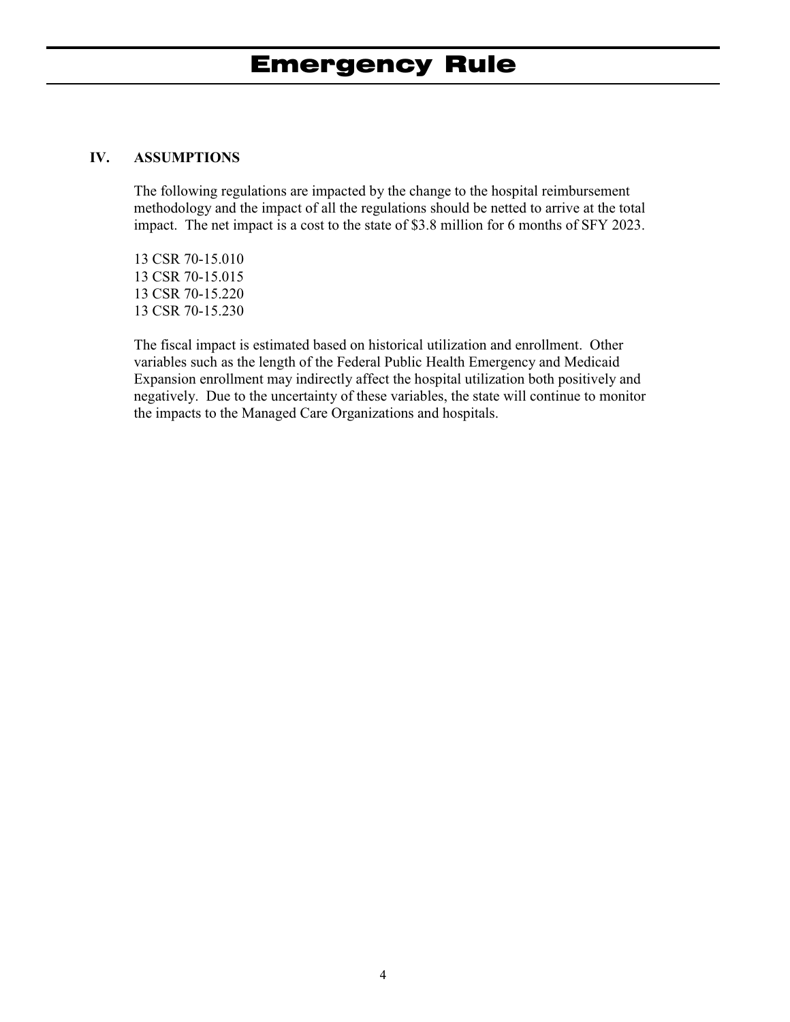### **IV. ASSUMPTIONS**

The following regulations are impacted by the change to the hospital reimbursement methodology and the impact of all the regulations should be netted to arrive at the total impact. The net impact is a cost to the state of \$3.8 million for 6 months of SFY 2023.

13 CSR 70-15.010 13 CSR 70-15.015 13 CSR 70-15.220 13 CSR 70-15.230

The fiscal impact is estimated based on historical utilization and enrollment. Other variables such as the length of the Federal Public Health Emergency and Medicaid Expansion enrollment may indirectly affect the hospital utilization both positively and negatively. Due to the uncertainty of these variables, the state will continue to monitor the impacts to the Managed Care Organizations and hospitals.